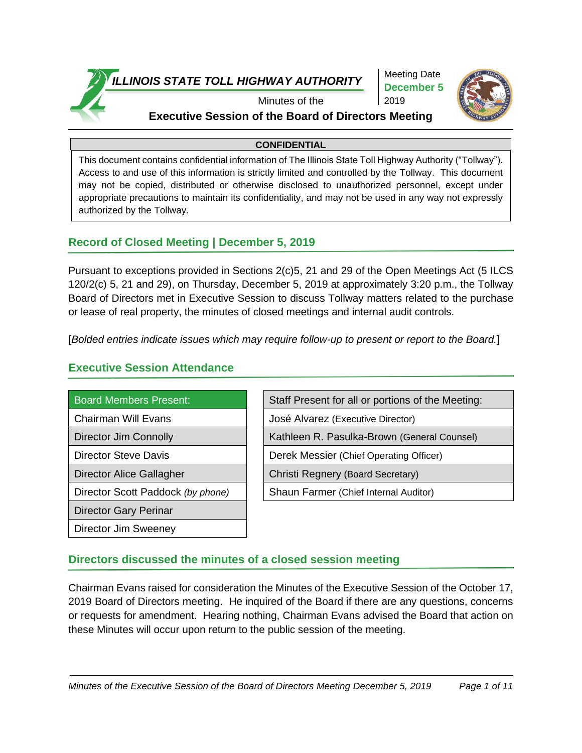

Meeting Date **December 5** 2019



### Minutes of the **Executive Session of the Board of Directors Meeting**

#### **CONFIDENTIAL**

This document contains confidential information of The Illinois State Toll Highway Authority ("Tollway"). Access to and use of this information is strictly limited and controlled by the Tollway. This document may not be copied, distributed or otherwise disclosed to unauthorized personnel, except under appropriate precautions to maintain its confidentiality, and may not be used in any way not expressly authorized by the Tollway.

## **Record of Closed Meeting | December 5, 2019**

Pursuant to exceptions provided in Sections 2(c)5, 21 and 29 of the Open Meetings Act (5 ILCS 120/2(c) 5, 21 and 29), on Thursday, December 5, 2019 at approximately 3:20 p.m., the Tollway Board of Directors met in Executive Session to discuss Tollway matters related to the purchase or lease of real property, the minutes of closed meetings and internal audit controls.

[*Bolded entries indicate issues which may require follow-up to present or report to the Board.*]

## **Executive Session Attendance**

| <b>Board Members Present:</b>     |
|-----------------------------------|
| Chairman Will Evans               |
| Director Jim Connolly             |
| Director Steve Davis              |
| Director Alice Gallagher          |
| Director Scott Paddock (by phone) |
| <b>Director Gary Perinar</b>      |
| Director Jim Sweeney              |

Staff Present for all or portions of the Meeting:

José Alvarez (Executive Director)

Kathleen R. Pasulka-Brown (General Counsel)

Derek Messier (Chief Operating Officer)

Christi Regnery (Board Secretary)

**Shaun Farmer (Chief Internal Auditor)** 

# **Directors discussed the minutes of a closed session meeting**

Chairman Evans raised for consideration the Minutes of the Executive Session of the October 17, 2019 Board of Directors meeting. He inquired of the Board if there are any questions, concerns or requests for amendment. Hearing nothing, Chairman Evans advised the Board that action on these Minutes will occur upon return to the public session of the meeting.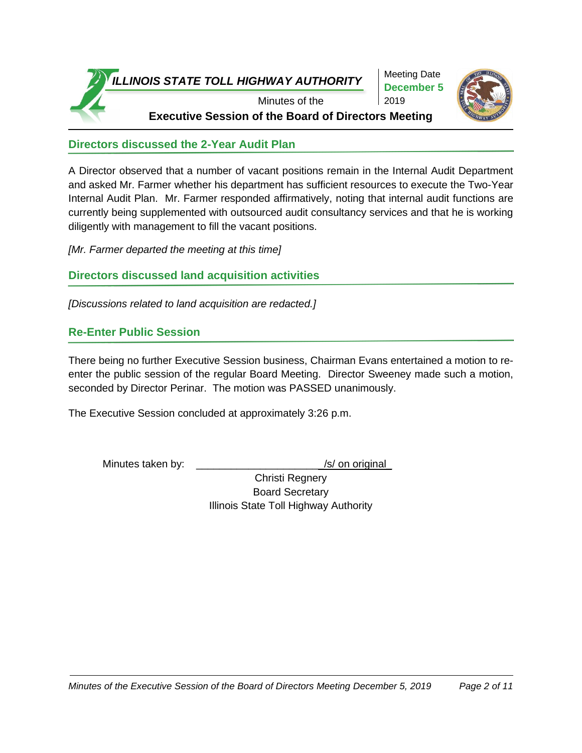

Meeting Date **December 5** 2019



**Directors discussed the 2-Year Audit Plan**

A Director observed that a number of vacant positions remain in the Internal Audit Department and asked Mr. Farmer whether his department has sufficient resources to execute the Two-Year Internal Audit Plan. Mr. Farmer responded affirmatively, noting that internal audit functions are currently being supplemented with outsourced audit consultancy services and that he is working diligently with management to fill the vacant positions.

*[Mr. Farmer departed the meeting at this time]*

## **Directors discussed land acquisition activities**

*[Discussions related to land acquisition are redacted.]* 

## **Re-Enter Public Session**

There being no further Executive Session business, Chairman Evans entertained a motion to reenter the public session of the regular Board Meeting. Director Sweeney made such a motion, seconded by Director Perinar. The motion was PASSED unanimously.

The Executive Session concluded at approximately 3:26 p.m.

Minutes taken by: \_\_\_\_\_\_\_\_\_\_\_\_\_\_\_\_\_\_\_\_\_\_\_\_\_\_\_\_\_\_\_/s/ on original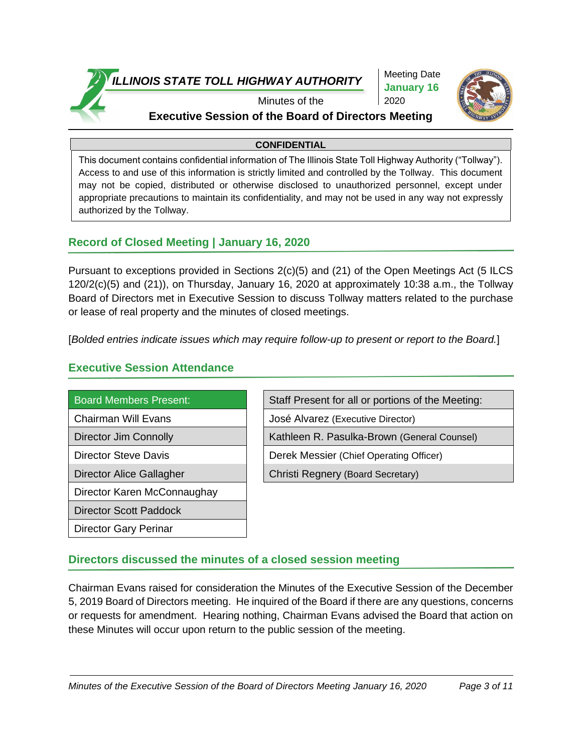

Meeting Date **January 16** 2020



## Minutes of the **Executive Session of the Board of Directors Meeting**

#### **CONFIDENTIAL**

This document contains confidential information of The Illinois State Toll Highway Authority ("Tollway"). Access to and use of this information is strictly limited and controlled by the Tollway. This document may not be copied, distributed or otherwise disclosed to unauthorized personnel, except under appropriate precautions to maintain its confidentiality, and may not be used in any way not expressly authorized by the Tollway.

## **Record of Closed Meeting | January 16, 2020**

Pursuant to exceptions provided in Sections 2(c)(5) and (21) of the Open Meetings Act (5 ILCS 120/2(c)(5) and (21)), on Thursday, January 16, 2020 at approximately 10:38 a.m., the Tollway Board of Directors met in Executive Session to discuss Tollway matters related to the purchase or lease of real property and the minutes of closed meetings.

[*Bolded entries indicate issues which may require follow-up to present or report to the Board.*]

# **Executive Session Attendance**

| <b>Board Members Present:</b> |
|-------------------------------|
| Chairman Will Evans           |
| <b>Director Jim Connolly</b>  |
| <b>Director Steve Davis</b>   |
| Director Alice Gallagher      |

Director Karen McConnaughay

Director Scott Paddock

Director Gary Perinar

Staff Present for all or portions of the Meeting:

José Alvarez (Executive Director)

Kathleen R. Pasulka-Brown (General Counsel)

Derek Messier (Chief Operating Officer)

Christi Regnery (Board Secretary)

# **Directors discussed the minutes of a closed session meeting**

Chairman Evans raised for consideration the Minutes of the Executive Session of the December 5, 2019 Board of Directors meeting. He inquired of the Board if there are any questions, concerns or requests for amendment. Hearing nothing, Chairman Evans advised the Board that action on these Minutes will occur upon return to the public session of the meeting.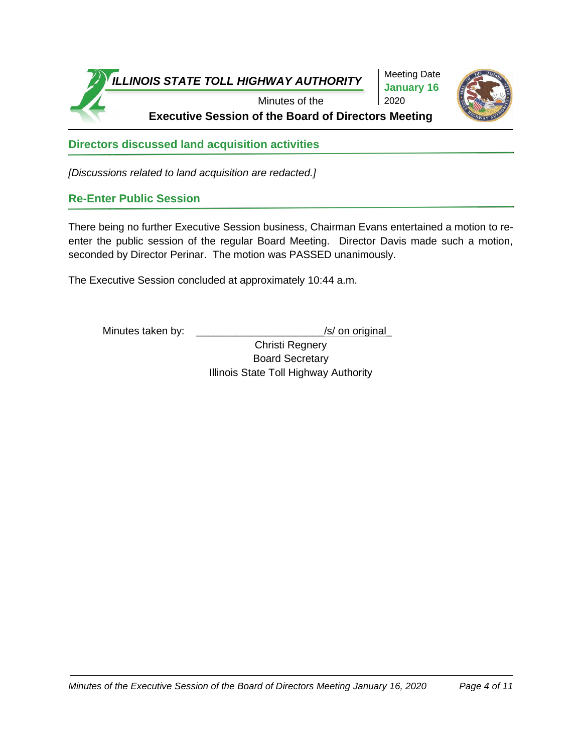

Meeting Date **January 16** 2020



**Directors discussed land acquisition activities**

*[Discussions related to land acquisition are redacted.]* 

# **Re-Enter Public Session**

There being no further Executive Session business, Chairman Evans entertained a motion to reenter the public session of the regular Board Meeting. Director Davis made such a motion, seconded by Director Perinar. The motion was PASSED unanimously.

The Executive Session concluded at approximately 10:44 a.m.

Minutes taken by: \_\_\_\_\_\_\_\_\_\_\_\_\_\_\_\_\_\_\_\_\_\_/s/ on original\_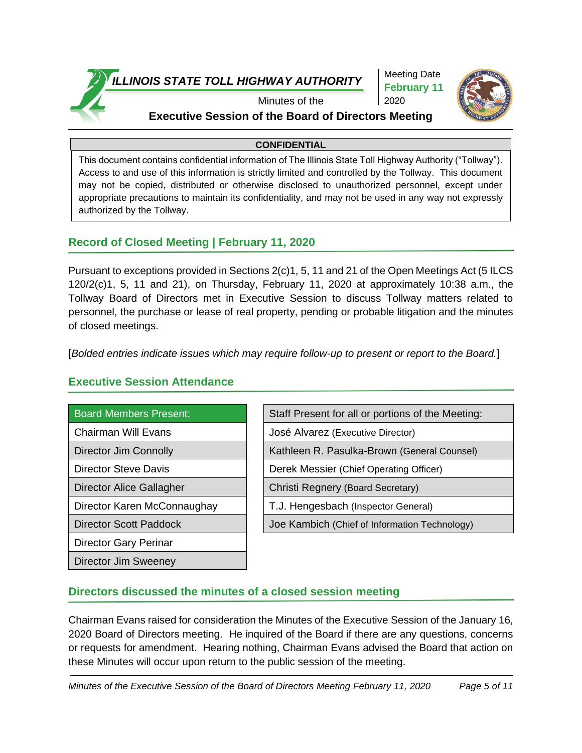

Meeting Date **February 11** 2020



# Minutes of the **Executive Session of the Board of Directors Meeting**

#### **CONFIDENTIAL**

This document contains confidential information of The Illinois State Toll Highway Authority ("Tollway"). Access to and use of this information is strictly limited and controlled by the Tollway. This document may not be copied, distributed or otherwise disclosed to unauthorized personnel, except under appropriate precautions to maintain its confidentiality, and may not be used in any way not expressly authorized by the Tollway.

## **Record of Closed Meeting | February 11, 2020**

Pursuant to exceptions provided in Sections 2(c)1, 5, 11 and 21 of the Open Meetings Act (5 ILCS 120/2(c)1, 5, 11 and 21), on Thursday, February 11, 2020 at approximately 10:38 a.m., the Tollway Board of Directors met in Executive Session to discuss Tollway matters related to personnel, the purchase or lease of real property, pending or probable litigation and the minutes of closed meetings.

[*Bolded entries indicate issues which may require follow-up to present or report to the Board.*]

| <b>Board Members Present:</b> | Staff Present for all or portions o |
|-------------------------------|-------------------------------------|
| <b>Chairman Will Evans</b>    | José Alvarez (Executive Director)   |
| Director Jim Connolly         | Kathleen R. Pasulka-Brown (Ger      |
| <b>Director Steve Davis</b>   | Derek Messier (Chief Operating O    |
| Director Alice Gallagher      | Christi Regnery (Board Secretary)   |
| Director Karen McConnaughay   | T.J. Hengesbach (Inspector Gene     |
| <b>Director Scott Paddock</b> | Joe Kambich (Chief of Information   |
| <b>Director Gary Perinar</b>  |                                     |

Director Jim Sweeney

### **Executive Session Attendance**

| <b>Board Members Present:</b>   | Staff Present for all or portions of the Meeting: |
|---------------------------------|---------------------------------------------------|
| Chairman Will Evans             | José Alvarez (Executive Director)                 |
| <b>Director Jim Connolly</b>    | Kathleen R. Pasulka-Brown (General Counsel)       |
| <b>Director Steve Davis</b>     | Derek Messier (Chief Operating Officer)           |
| <b>Director Alice Gallagher</b> | Christi Regnery (Board Secretary)                 |
| Director Karen McConnaughay     | T.J. Hengesbach (Inspector General)               |
| <b>Director Scott Paddock</b>   | Joe Kambich (Chief of Information Technology)     |
|                                 |                                                   |

# **Directors discussed the minutes of a closed session meeting**

Chairman Evans raised for consideration the Minutes of the Executive Session of the January 16, 2020 Board of Directors meeting. He inquired of the Board if there are any questions, concerns or requests for amendment. Hearing nothing, Chairman Evans advised the Board that action on these Minutes will occur upon return to the public session of the meeting.

*Minutes of the Executive Session of the Board of Directors Meeting February 11, 2020 Page 5 of 11*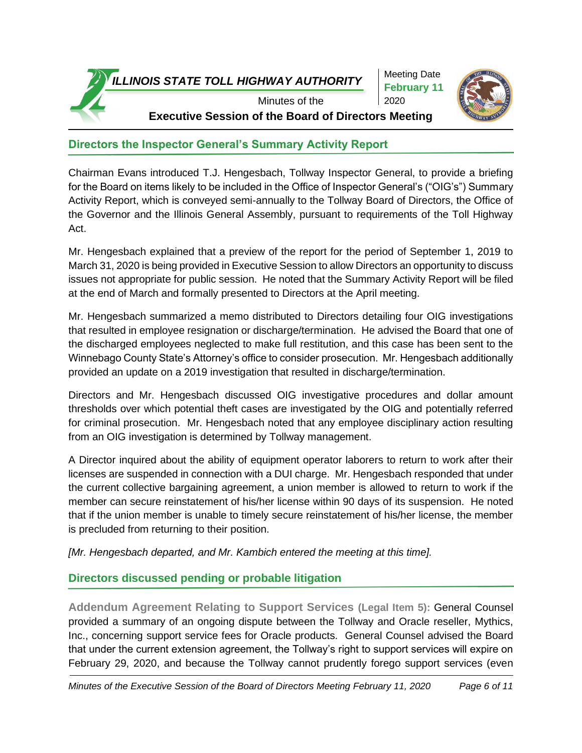Meeting Date **February 11** 2020



Minutes of the **Executive Session of the Board of Directors Meeting**

# **Directors the Inspector General's Summary Activity Report**

Chairman Evans introduced T.J. Hengesbach, Tollway Inspector General, to provide a briefing for the Board on items likely to be included in the Office of Inspector General's ("OIG's") Summary Activity Report, which is conveyed semi-annually to the Tollway Board of Directors, the Office of the Governor and the Illinois General Assembly, pursuant to requirements of the Toll Highway Act.

Mr. Hengesbach explained that a preview of the report for the period of September 1, 2019 to March 31, 2020 is being provided in Executive Session to allow Directors an opportunity to discuss issues not appropriate for public session. He noted that the Summary Activity Report will be filed at the end of March and formally presented to Directors at the April meeting.

Mr. Hengesbach summarized a memo distributed to Directors detailing four OIG investigations that resulted in employee resignation or discharge/termination. He advised the Board that one of the discharged employees neglected to make full restitution, and this case has been sent to the Winnebago County State's Attorney's office to consider prosecution. Mr. Hengesbach additionally provided an update on a 2019 investigation that resulted in discharge/termination.

Directors and Mr. Hengesbach discussed OIG investigative procedures and dollar amount thresholds over which potential theft cases are investigated by the OIG and potentially referred for criminal prosecution. Mr. Hengesbach noted that any employee disciplinary action resulting from an OIG investigation is determined by Tollway management.

A Director inquired about the ability of equipment operator laborers to return to work after their licenses are suspended in connection with a DUI charge. Mr. Hengesbach responded that under the current collective bargaining agreement, a union member is allowed to return to work if the member can secure reinstatement of his/her license within 90 days of its suspension. He noted that if the union member is unable to timely secure reinstatement of his/her license, the member is precluded from returning to their position.

*[Mr. Hengesbach departed, and Mr. Kambich entered the meeting at this time].*

# **Directors discussed pending or probable litigation**

**Addendum Agreement Relating to Support Services (Legal Item 5):** General Counsel provided a summary of an ongoing dispute between the Tollway and Oracle reseller, Mythics, Inc., concerning support service fees for Oracle products. General Counsel advised the Board that under the current extension agreement, the Tollway's right to support services will expire on February 29, 2020, and because the Tollway cannot prudently forego support services (even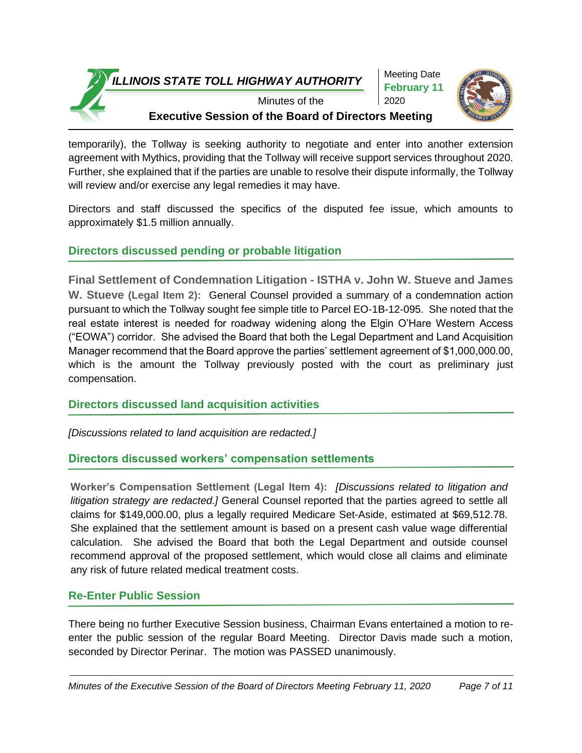Meeting Date **February 11** 2020



Minutes of the **Executive Session of the Board of Directors Meeting**

temporarily), the Tollway is seeking authority to negotiate and enter into another extension agreement with Mythics, providing that the Tollway will receive support services throughout 2020. Further, she explained that if the parties are unable to resolve their dispute informally, the Tollway will review and/or exercise any legal remedies it may have.

Directors and staff discussed the specifics of the disputed fee issue, which amounts to approximately \$1.5 million annually.

# **Directors discussed pending or probable litigation**

**Final Settlement of Condemnation Litigation - ISTHA v. John W. Stueve and James W. Stueve (Legal Item 2):** General Counsel provided a summary of a condemnation action pursuant to which the Tollway sought fee simple title to Parcel EO-1B-12-095. She noted that the real estate interest is needed for roadway widening along the Elgin O'Hare Western Access ("EOWA") corridor. She advised the Board that both the Legal Department and Land Acquisition Manager recommend that the Board approve the parties' settlement agreement of \$1,000,000.00, which is the amount the Tollway previously posted with the court as preliminary just compensation.

# **Directors discussed land acquisition activities**

*[Discussions related to land acquisition are redacted.]* 

# **Directors discussed workers' compensation settlements**

**Worker's Compensation Settlement (Legal Item 4):** *[Discussions related to litigation and litigation strategy are redacted.]* General Counsel reported that the parties agreed to settle all claims for \$149,000.00, plus a legally required Medicare Set-Aside, estimated at \$69,512.78. She explained that the settlement amount is based on a present cash value wage differential calculation. She advised the Board that both the Legal Department and outside counsel recommend approval of the proposed settlement, which would close all claims and eliminate any risk of future related medical treatment costs.

# **Re-Enter Public Session**

There being no further Executive Session business, Chairman Evans entertained a motion to reenter the public session of the regular Board Meeting. Director Davis made such a motion, seconded by Director Perinar. The motion was PASSED unanimously.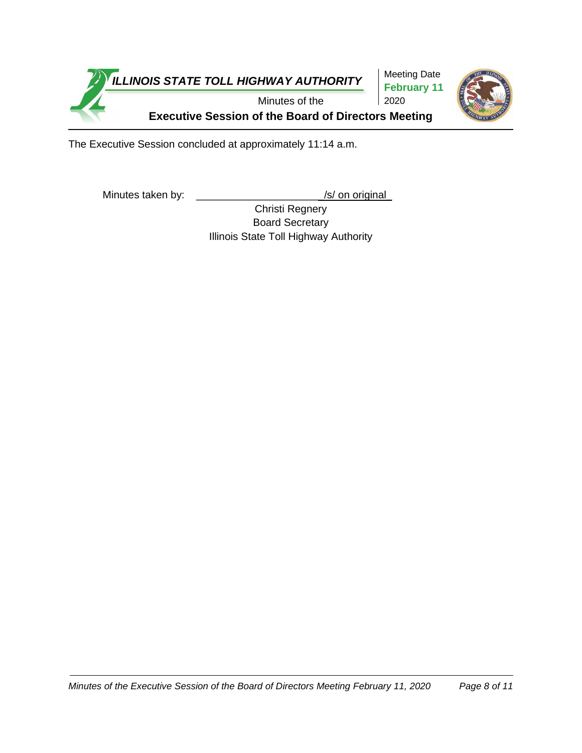

The Executive Session concluded at approximately 11:14 a.m.

Minutes taken by: \_\_\_\_\_\_\_\_\_\_\_\_\_\_\_\_\_\_\_\_\_\_\_\_\_\_\_\_\_\_\_\_\_\_/s/ on original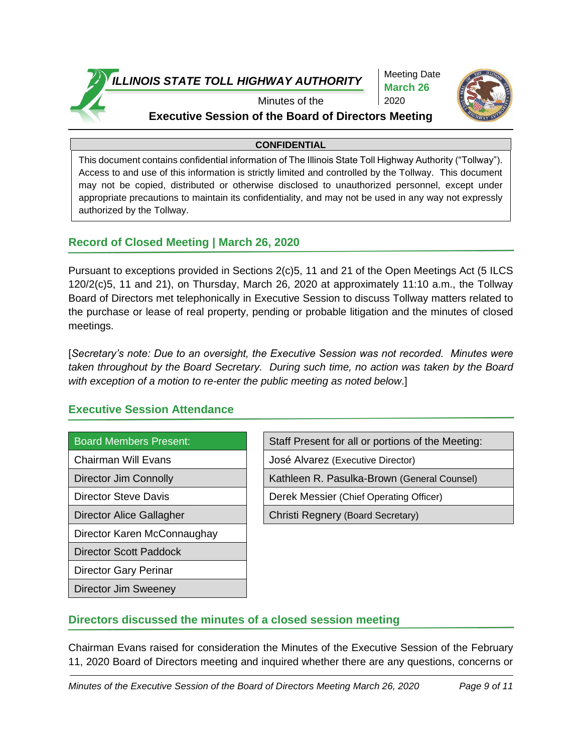

Meeting Date **March 26** 2020



# Minutes of the **Executive Session of the Board of Directors Meeting**

#### **CONFIDENTIAL**

This document contains confidential information of The Illinois State Toll Highway Authority ("Tollway"). Access to and use of this information is strictly limited and controlled by the Tollway. This document may not be copied, distributed or otherwise disclosed to unauthorized personnel, except under appropriate precautions to maintain its confidentiality, and may not be used in any way not expressly authorized by the Tollway.

# **Record of Closed Meeting | March 26, 2020**

Pursuant to exceptions provided in Sections 2(c)5, 11 and 21 of the Open Meetings Act (5 ILCS 120/2(c)5, 11 and 21), on Thursday, March 26, 2020 at approximately 11:10 a.m., the Tollway Board of Directors met telephonically in Executive Session to discuss Tollway matters related to the purchase or lease of real property, pending or probable litigation and the minutes of closed meetings.

[*Secretary's note: Due to an oversight, the Executive Session was not recorded. Minutes were taken throughout by the Board Secretary. During such time, no action was taken by the Board with exception of a motion to re-enter the public meeting as noted below*.]

### **Executive Session Attendance**

| <b>Board Members Present:</b> |  |
|-------------------------------|--|

Director Karen McConnaughay

Director Scott Paddock

Director Gary Perinar

Director Jim Sweeney

| <b>Board Members Present:</b> | Staff Present for all or portions of the Meeting: |
|-------------------------------|---------------------------------------------------|
| Chairman Will Evans           | José Alvarez (Executive Director)                 |
| <b>Director Jim Connolly</b>  | Kathleen R. Pasulka-Brown (General Counsel)       |
| <b>Director Steve Davis</b>   | Derek Messier (Chief Operating Officer)           |
|                               |                                                   |

Director Alice Gallagher **Christi Regnery (Board Secretary)** 

# **Directors discussed the minutes of a closed session meeting**

Chairman Evans raised for consideration the Minutes of the Executive Session of the February 11, 2020 Board of Directors meeting and inquired whether there are any questions, concerns or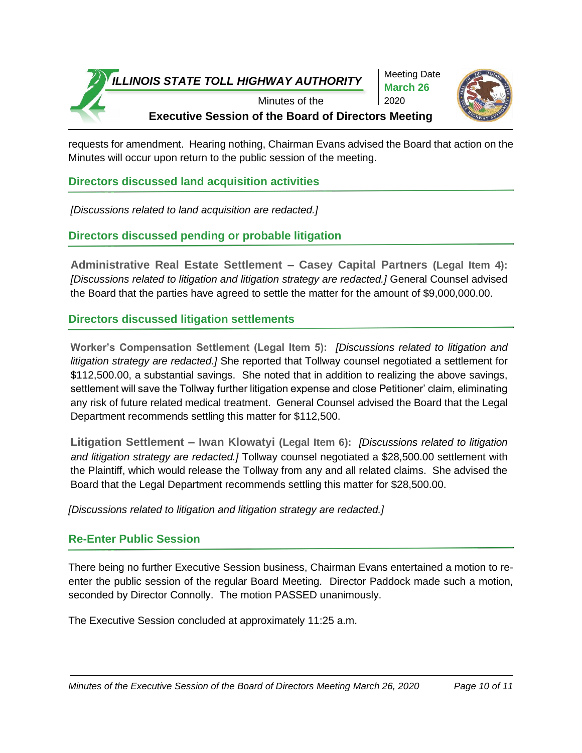

requests for amendment. Hearing nothing, Chairman Evans advised the Board that action on the Minutes will occur upon return to the public session of the meeting.

**Directors discussed land acquisition activities**

*[Discussions related to land acquisition are redacted.]* 

## **Directors discussed pending or probable litigation**

**Administrative Real Estate Settlement – Casey Capital Partners (Legal Item 4):** *[Discussions related to litigation and litigation strategy are redacted.]* General Counsel advised the Board that the parties have agreed to settle the matter for the amount of \$9,000,000.00.

## **Directors discussed litigation settlements**

**Worker's Compensation Settlement (Legal Item 5):** *[Discussions related to litigation and litigation strategy are redacted.]* She reported that Tollway counsel negotiated a settlement for \$112,500.00, a substantial savings. She noted that in addition to realizing the above savings, settlement will save the Tollway further litigation expense and close Petitioner' claim, eliminating any risk of future related medical treatment. General Counsel advised the Board that the Legal Department recommends settling this matter for \$112,500.

**Litigation Settlement – Iwan Klowatyi (Legal Item 6):** *[Discussions related to litigation and litigation strategy are redacted.]* Tollway counsel negotiated a \$28,500.00 settlement with the Plaintiff, which would release the Tollway from any and all related claims. She advised the Board that the Legal Department recommends settling this matter for \$28,500.00.

*[Discussions related to litigation and litigation strategy are redacted.]* 

### **Re-Enter Public Session**

There being no further Executive Session business, Chairman Evans entertained a motion to reenter the public session of the regular Board Meeting. Director Paddock made such a motion, seconded by Director Connolly. The motion PASSED unanimously.

The Executive Session concluded at approximately 11:25 a.m.